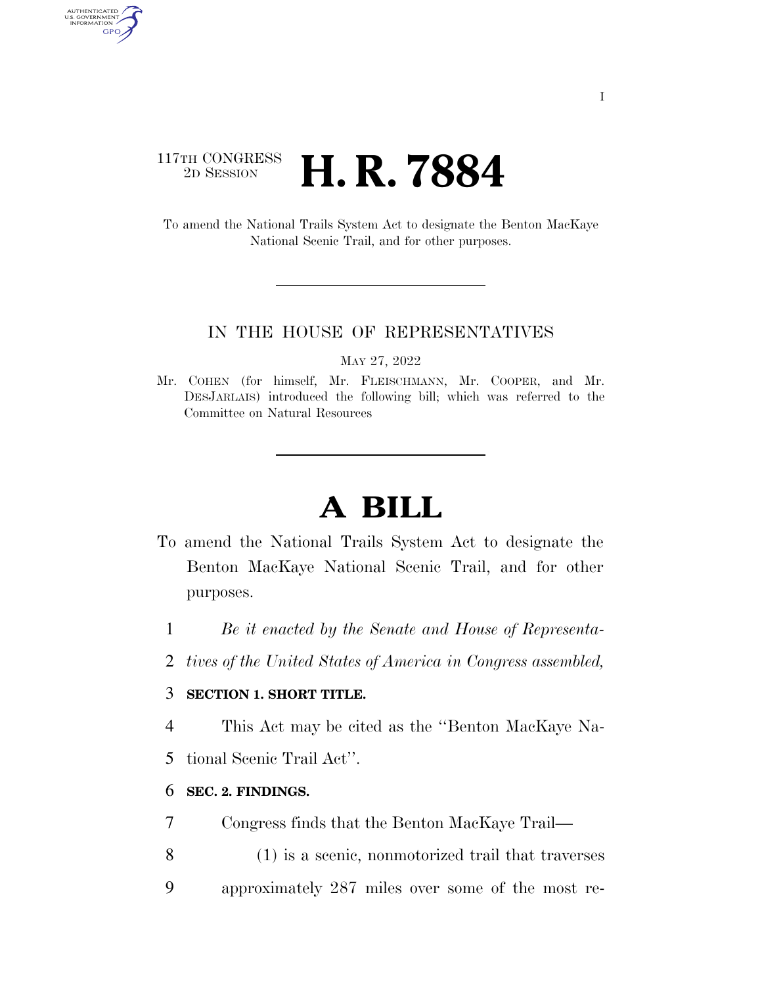# 117TH CONGRESS <sup>2D SESSION</sup> **H. R. 7884**

AUTHENTICATED<br>U.S. GOVERNMENT<br>INFORMATION GPO

> To amend the National Trails System Act to designate the Benton MacKaye National Scenic Trail, and for other purposes.

### IN THE HOUSE OF REPRESENTATIVES

MAY 27, 2022

Mr. COHEN (for himself, Mr. FLEISCHMANN, Mr. COOPER, and Mr. DESJARLAIS) introduced the following bill; which was referred to the Committee on Natural Resources

# **A BILL**

- To amend the National Trails System Act to designate the Benton MacKaye National Scenic Trail, and for other purposes.
	- 1 *Be it enacted by the Senate and House of Representa-*
	- 2 *tives of the United States of America in Congress assembled,*

## 3 **SECTION 1. SHORT TITLE.**

4 This Act may be cited as the ''Benton MacKaye Na-

5 tional Scenic Trail Act''.

### 6 **SEC. 2. FINDINGS.**

- 7 Congress finds that the Benton MacKaye Trail—
- 8 (1) is a scenic, nonmotorized trail that traverses
- 9 approximately 287 miles over some of the most re-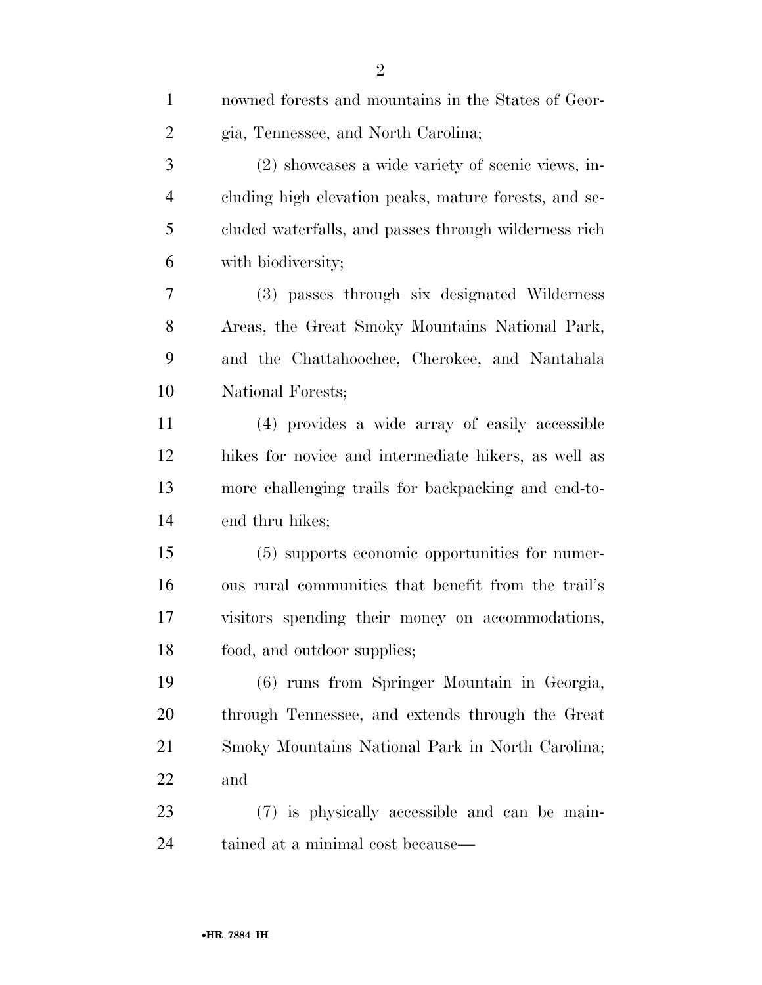| $\mathbf{1}$   | nowned forests and mountains in the States of Geor-   |
|----------------|-------------------------------------------------------|
| $\overline{2}$ | gia, Tennessee, and North Carolina;                   |
| 3              | (2) showcases a wide variety of scenic views, in-     |
| $\overline{4}$ | cluding high elevation peaks, mature forests, and se- |
| 5              | cluded waterfalls, and passes through wilderness rich |
| 6              | with biodiversity;                                    |
| 7              | (3) passes through six designated Wilderness          |
| 8              | Areas, the Great Smoky Mountains National Park,       |
| 9              | and the Chattahoochee, Cherokee, and Nantahala        |
| 10             | National Forests;                                     |
| 11             | (4) provides a wide array of easily accessible        |
| 12             | hikes for novice and intermediate hikers, as well as  |
| 13             | more challenging trails for backpacking and end-to-   |
| 14             | end thru hikes;                                       |
| 15             | (5) supports economic opportunities for numer-        |
| 16             | ous rural communities that benefit from the trail's   |
| 17             | visitors spending their money on accommodations,      |
| 18             | food, and outdoor supplies;                           |
| 19             | (6) runs from Springer Mountain in Georgia,           |
| 20             | through Tennessee, and extends through the Great      |
| 21             | Smoky Mountains National Park in North Carolina;      |
| 22             | and                                                   |
| 23             | (7) is physically accessible and can be main-         |
| 24             | tained at a minimal cost because—                     |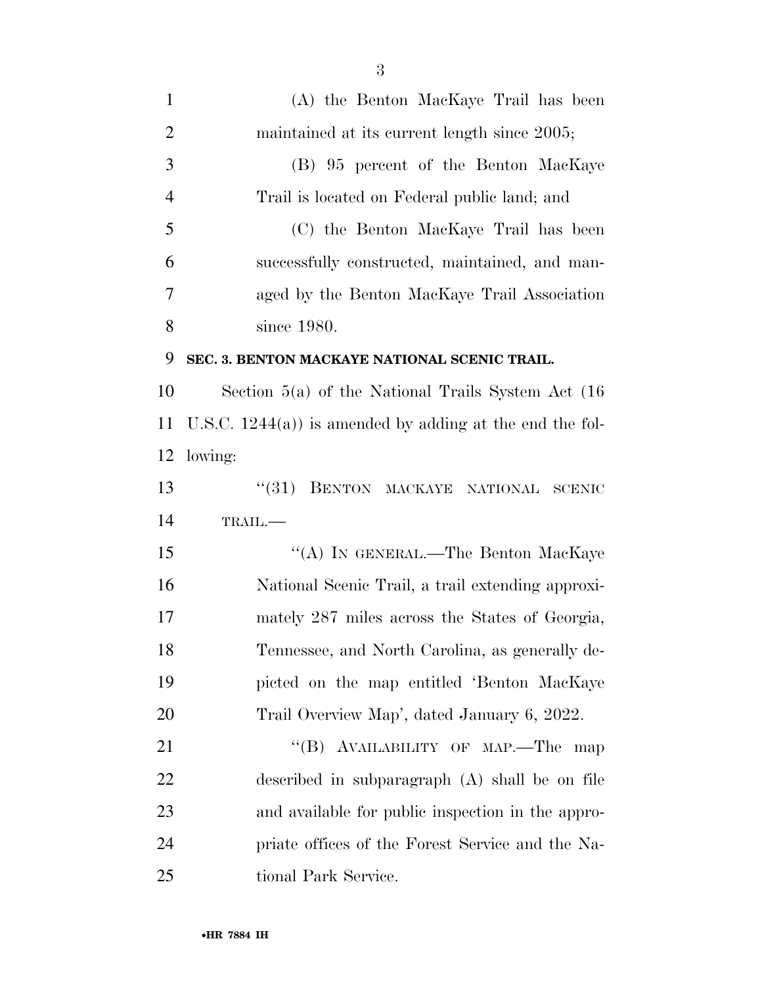| $\mathbf{1}$   | (A) the Benton MacKaye Trail has been                       |
|----------------|-------------------------------------------------------------|
| $\overline{2}$ | maintained at its current length since 2005;                |
| 3              | (B) 95 percent of the Benton MacKaye                        |
| $\overline{4}$ | Trail is located on Federal public land; and                |
| 5              | (C) the Benton MacKaye Trail has been                       |
| 6              | successfully constructed, maintained, and man-              |
| 7              | aged by the Benton MacKaye Trail Association                |
| 8              | since 1980.                                                 |
| 9              | SEC. 3. BENTON MACKAYE NATIONAL SCENIC TRAIL.               |
| 10             | Section $5(a)$ of the National Trails System Act $(16)$     |
| 11             | U.S.C. $1244(a)$ ) is amended by adding at the end the fol- |
| 12             | lowing:                                                     |
| 13             | (31)<br>BENTON MACKAYE NATIONAL SCENIC                      |
| 14             | TRAIL.-                                                     |
| 15             | "(A) IN GENERAL.—The Benton MacKaye                         |
| 16             | National Scenic Trail, a trail extending approxi-           |
| 17             | mately 287 miles across the States of Georgia,              |
| 18             | Tennessee, and North Carolina, as generally de-             |
| 19             | picted on the map entitled 'Benton MacKaye                  |
| 20             | Trail Overview Map', dated January 6, 2022.                 |
| 21             | "(B) AVAILABILITY OF MAP.—The<br>map                        |
| 22             | described in subparagraph (A) shall be on file              |
| 23             | and available for public inspection in the appro-           |
| 24             | priate offices of the Forest Service and the Na-            |
| 25             | tional Park Service.                                        |